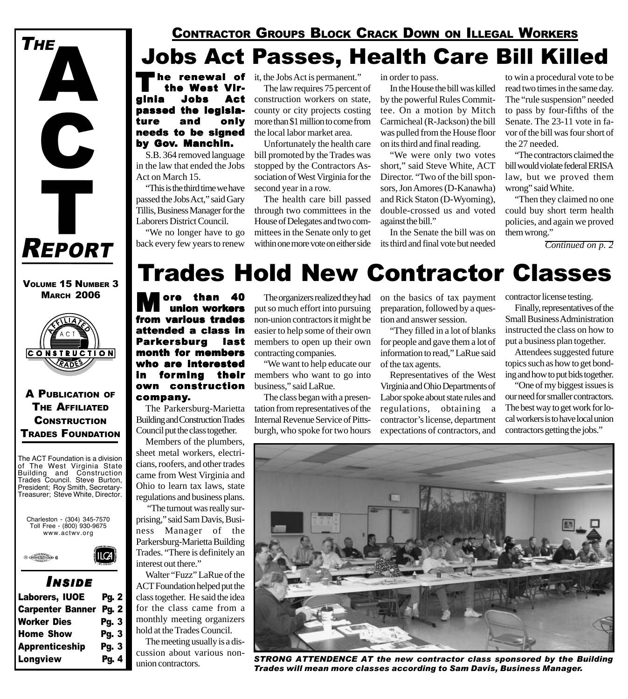

VOLUME 15 NUMBER 3 **MARCH 2006** 



A PUBLICATION OF THE AFFILIATED **CONSTRUCTION** TRADES FOUNDATION

The ACT Foundation is a division of The West Virginia State Building and Construction Trades Council. Steve Burton, President; Roy Smith, Secretary-Treasurer; Steve White, Director.





#### *I NSIDE*

| Laborers, IUOE          | <b>Pg. 2</b> |
|-------------------------|--------------|
| <b>Carpenter Banner</b> | Pg. 2        |
| <b>Worker Dies</b>      | Pg. 3        |
| <b>Home Show</b>        | Pg. 3        |
| <b>Apprenticeship</b>   | Pg. 3        |
| Longview                | Pg. 4        |
|                         |              |

### Jobs Act Passes, Health Care Bill Killed CONTRACTOR GROUPS BLOCK CRACK DOWN ON ILLEGAL WORKERS

**The renewal of** it, the Jobs Act is permanent."<br> **the West Vir-** The law requires 75 percent the West Virginia Jobs Act passed the legislature and only needs to be signed by Gov. Manchin.

S.B. 364 removed language in the law that ended the Jobs Act on March 15.

"This is the third time we have passed the Jobs Act," said Gary Tillis, Business Manager for the Laborers District Council.

"We no longer have to go back every few years to renew

The law requires 75 percent of construction workers on state, county or city projects costing more than \$1 million to come from the local labor market area.

Unfortunately the health care bill promoted by the Trades was stopped by the Contractors Association of West Virginia for the second year in a row.

The health care bill passed through two committees in the House of Delegates and two committees in the Senate only to get within one more vote on either side in order to pass.

In the House the bill was killed by the powerful Rules Committee. On a motion by Mitch Carmicheal (R-Jackson) the bill was pulled from the House floor on its third and final reading.

"We were only two votes short," said Steve White, ACT Director. "Two of the bill sponsors, Jon Amores (D-Kanawha) and Rick Staton (D-Wyoming), double-crossed us and voted against the bill."

In the Senate the bill was on its third and final vote but needed

to win a procedural vote to be read two times in the same day. The "rule suspension" needed to pass by four-fifths of the Senate. The 23-11 vote in favor of the bill was four short of the 27 needed.

"The contractors claimed the bill would violate federal ERISA law, but we proved them wrong" said White.

"Then they claimed no one could buy short term health policies, and again we proved them wrong."

*Continued on p. 2*

### Trades Hold New Contractor Classes

**M** ore than 40 from various trades attended a class in Parkersburg last month for members who are interested in forming their own construction company.

The Parkersburg-Marietta Building and Construction Trades Council put the class together.

Members of the plumbers, sheet metal workers, electricians, roofers, and other trades came from West Virginia and Ohio to learn tax laws, state regulations and business plans.

 "The turnout was really surprising," said Sam Davis, Business Manager of the Parkersburg-Marietta Building Trades. "There is definitely an interest out there."

Walter "Fuzz" LaRue of the ACT Foundation helped put the class together. He said the idea for the class came from a monthly meeting organizers hold at the Trades Council.

The meeting usually is a discussion about various nonunion contractors.

The organizers realized they had put so much effort into pursuing non-union contractors it might be easier to help some of their own members to open up their own contracting companies.

"We want to help educate our members who want to go into business," said LaRue.

The class began with a presentation from representatives of the Internal Revenue Service of Pittsburgh, who spoke for two hours on the basics of tax payment preparation, followed by a question and answer session.

"They filled in a lot of blanks for people and gave them a lot of information to read," LaRue said of the tax agents.

Representatives of the West Virginia and Ohio Departments of Labor spoke about state rules and regulations, obtaining a contractor's license, department expectations of contractors, and

contractor license testing.

Finally, representatives of the Small Business Administration instructed the class on how to put a business plan together.

Attendees suggested future topics such as how to get bonding and how to put bids together.

"One of my biggest issues is our need for smaller contractors. The best way to get work for local workers is to have local union contractors getting the jobs."



*STRONG ATTENDENCE AT the new contractor class sponsored by the Building Trades will mean more classes according to Sam Davis, Business Manager.*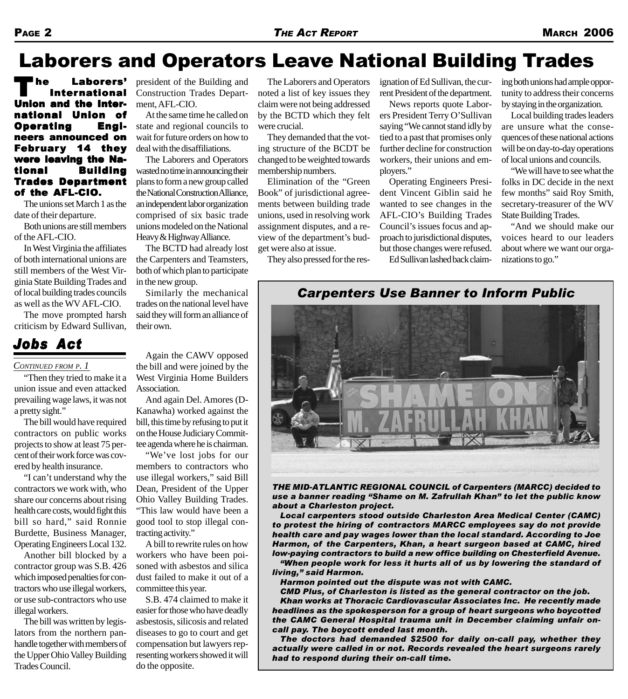The Laborers'<br>International<br>... Union and the International Union of of Operating Engi- Engineers announced on February 14 they were leaving the National Building **Trades Department** of the AFL-CIO.

The unions set March 1 as the date of their departure.

Both unions are still members of the AFL-CIO.

In West Virginia the affiliates of both international unions are still members of the West Virginia State Building Trades and of local building trades councils as well as the WV AFL-CIO.

The move prompted harsh criticism by Edward Sullivan,

### *Jobs Act*

#### *CONTINUED FROM P. 1*

"Then they tried to make it a union issue and even attacked prevailing wage laws, it was not a pretty sight."

The bill would have required contractors on public works projects to show at least 75 percent of their work force was covered by health insurance.

"I can't understand why the contractors we work with, who share our concerns about rising health care costs, would fight this bill so hard," said Ronnie Burdette, Business Manager, Operating Engineers Local 132.

Another bill blocked by a contractor group was S.B. 426 which imposed penalties for contractors who use illegal workers, or use sub-contractors who use illegal workers.

The bill was written by legislators from the northern panhandle together with members of the Upper Ohio Valley Building Trades Council.

president of the Building and Construction Trades Department, AFL-CIO.

At the same time he called on state and regional councils to wait for future orders on how to deal with the disaffiliations.

The Laborers and Operators wasted no time in announcing their plans to form a new group called the National Construction Alliance, an independent labor organization comprised of six basic trade unions modeled on the National Heavy & Highway Alliance.

The BCTD had already lost the Carpenters and Teamsters, both of which plan to participate in the new group.

Similarly the mechanical trades on the national level have said they will form an alliance of their own.

Again the CAWV opposed the bill and were joined by the West Virginia Home Builders Association.

And again Del. Amores (D-Kanawha) worked against the bill, this time by refusing to put it on the House Judiciary Committee agenda where he is chairman.

"We've lost jobs for our members to contractors who use illegal workers," said Bill Dean, President of the Upper Ohio Valley Building Trades. "This law would have been a good tool to stop illegal contracting activity."

A bill to rewrite rules on how workers who have been poisoned with asbestos and silica dust failed to make it out of a committee this year.

S.B. 474 claimed to make it easier for those who have deadly asbestosis, silicosis and related diseases to go to court and get compensation but lawyers representing workers showed it will do the opposite.

The Laborers and Operators noted a list of key issues they claim were not being addressed by the BCTD which they felt were crucial.

They demanded that the voting structure of the BCDT be changed to be weighted towards membership numbers.

Elimination of the "Green Book" of jurisdictional agreements between building trade unions, used in resolving work assignment disputes, and a review of the department's budget were also at issue.

They also pressed for the res-

ignation of Ed Sullivan, the current President of the department.

News reports quote Laborers President Terry O'Sullivan saying "We cannot stand idly by tied to a past that promises only further decline for construction workers, their unions and employers."

Operating Engineers President Vincent Giblin said he wanted to see changes in the AFL-CIO's Building Trades Council's issues focus and approach to jurisdictional disputes, but those changes were refused.

Ed Sullivan lashed back claim-

ing both unions had ample opportunity to address their concerns by staying in the organization.

Local building trades leaders are unsure what the consequences of these national actions will be on day-to-day operations of local unions and councils.

"We will have to see what the folks in DC decide in the next few months" said Roy Smith, secretary-treasurer of the WV State Building Trades.

"And we should make our voices heard to our leaders about where we want our organizations to go."

#### *Carpenters Use Banner to Inform Public*



*THE MID-ATLANTIC REGIONAL COUNCIL of Carpenters (MARCC) decided to use a banner reading "Shame on M. Zafrullah Khan" to let the public know about a Charleston project.*

*Local carpenters stood outside Charleston Area Medical Center (CAMC) to protest the hiring of contractors MARCC employees say do not provide health care and pay wages lower than the local standard. According to Joe Harmon, of the Carpenters, Khan, a heart surgeon based at CAMC, hired low-paying contractors to build a new office building on Chesterfield Avenue.*

*"When people work for less it hurts all of us by lowering the standard of living," said Harmon.*

*Harmon pointed out the dispute was not with CAMC.*

*CMD Plus, of Charleston is listed as the general contractor on the job. Khan works at Thoracic Cardiovascular Associates Inc. He recently made headlines as the spokesperson for a group of heart surgeons who boycotted the CAMC General Hospital trauma unit in December claiming unfair oncall pay. The boycott ended last month.*

*The doctors had demanded \$2500 for daily on-call pay, whether they actually were called in or not. Records revealed the heart surgeons rarely had to respond during their on-call time.*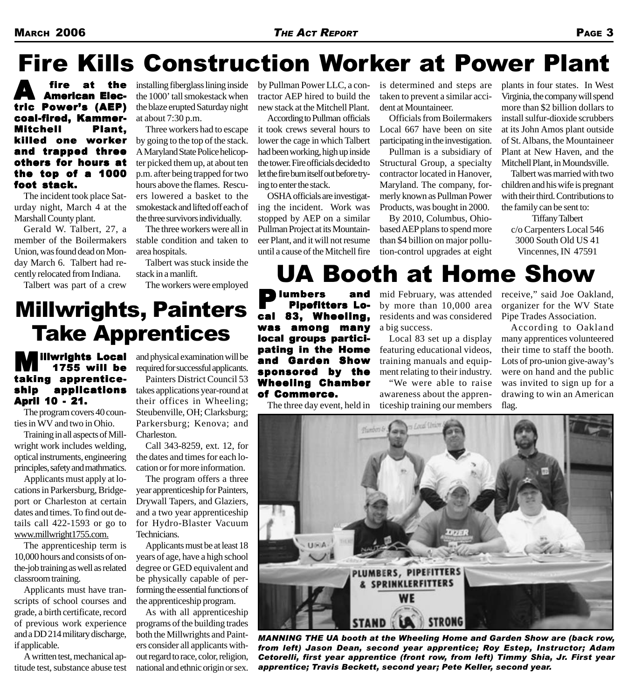### Fire Kills Construction Worker at Power Plant

**A** fire at the<br>American Electric Power's (AEP) coal-fired, Kammer-Mitchell Plant, Mitchell Plant, killed one worker and trapped three others for hours at the top of a 1000 foot stack.

The incident took place Saturday night, March 4 at the Marshall County plant.

Gerald W. Talbert, 27, a member of the Boilermakers Union, was found dead on Monday March 6. Talbert had recently relocated from Indiana.

Talbert was part of a crew

installing fiberglass lining inside the 1000' tall smokestack when the blaze erupted Saturday night at about 7:30 p.m.

Three workers had to escape by going to the top of the stack. A Maryland State Police helicopter picked them up, at about ten p.m. after being trapped for two hours above the flames. Rescuers lowered a basket to the smokestack and lifted off each of the three survivors individually.

The three workers were all in stable condition and taken to area hospitals.

Talbert was stuck inside the stack in a manlift.

The workers were employed

by Pullman Power LLC, a contractor AEP hired to build the new stack at the Mitchell Plant.

According to Pullman officials it took crews several hours to lower the cage in which Talbert had been working, high up inside the tower. Fire officials decided to let the fire burn itself out before trying to enter the stack.

OSHA officials are investigating the incident. Work was stopped by AEP on a similar Pullman Project at its Mountaineer Plant, and it will not resume until a cause of the Mitchell fire

is determined and steps are taken to prevent a similar accident at Mountaineer.

Officials from Boilermakers Local 667 have been on site participating in the investigation.

Pullman is a subsidiary of Structural Group, a specialty contractor located in Hanover, Maryland. The company, formerly known as Pullman Power Products, was bought in 2000.

By 2010, Columbus, Ohiobased AEP plans to spend more than \$4 billion on major pollution-control upgrades at eight

UA Booth at Home Show

plants in four states. In West Virginia, the company will spend more than \$2 billion dollars to install sulfur-dioxide scrubbers at its John Amos plant outside of St. Albans, the Mountaineer Plant at New Haven, and the Mitchell Plant, in Moundsville.

Talbert was married with two children and his wife is pregnant with their third. Contributions to the family can be sent to:

Tiffany Talbert c/o Carpenters Local 546 3000 South Old US 41 Vincennes, IN 47591

### Millwrights, Painters Take Apprentices

#### illwrights Local 1755 will be taking apprenticeship applications April 10 - 21.

The program covers 40 counties in WV and two in Ohio.

Training in all aspects of Millwright work includes welding, optical instruments, engineering principles, safety and mathmatics.

Applicants must apply at locations in Parkersburg, Bridgeport or Charleston at certain dates and times. To find out details call 422-1593 or go to www.millwright1755.com.

The apprenticeship term is 10,000 hours and consists of onthe-job training as well as related classroom training.

Applicants must have transcripts of school courses and grade, a birth certificate, record of previous work experience and a DD 214 military discharge, if applicable.

A written test, mechanical aptitude test, substance abuse test

and physical examination will be required for successful applicants.

Painters District Council 53 takes applications year-round at their offices in Wheeling; Steubenville, OH; Clarksburg; Parkersburg; Kenova; and Charleston.

Call 343-8259, ext. 12, for the dates and times for each location or for more information.

The program offers a three year apprenticeship for Painters, Drywall Tapers, and Glaziers, and a two year apprenticeship for Hydro-Blaster Vacuum Technicians.

Applicants must be at least 18 years of age, have a high school degree or GED equivalent and be physically capable of performing the essential functions of the apprenticeship program.

As with all apprenticeship programs of the building trades both the Millwrights and Painters consider all applicants without regard to race, color, religion, national and ethnic origin or sex.

**P**lumbers and<br>Pipefitters Local 83, Wheeling, was among many local groups participating in the Home and Garden Show sponsored by the

The three day event, held in

Wheeling Chamber

of Commerce.

mid February, was attended by more than 10,000 area residents and was considered a big success.

Local 83 set up a display featuring educational videos, training manuals and equipment relating to their industry.

"We were able to raise awareness about the apprenticeship training our members

receive," said Joe Oakland, organizer for the WV State Pipe Trades Association.

According to Oakland many apprentices volunteered their time to staff the booth. Lots of pro-union give-away's were on hand and the public was invited to sign up for a drawing to win an American flag.



*MANNING THE UA booth at the Wheeling Home and Garden Show are (back row, from left) Jason Dean, second year apprentice; Roy Estep, Instructor; Adam Cetorelli, first year apprentice (front row, from left) Timmy Shia, Jr. First year apprentice; Travis Beckett, second year; Pete Keller, second year.*